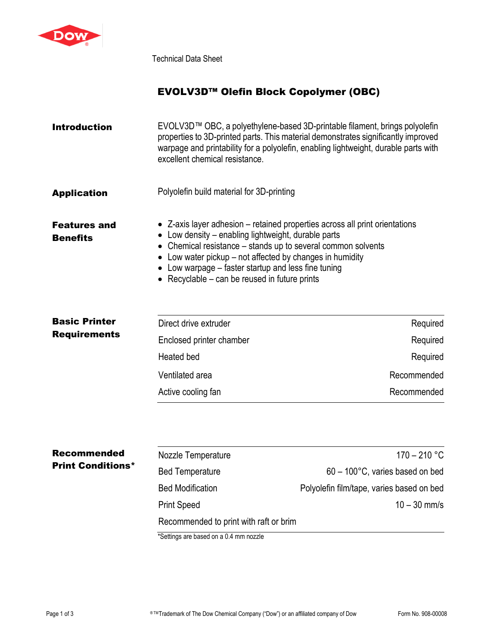

Technical Data Sheet

# EVOLV3D™ Olefin Block Copolymer (OBC)

| <b>Introduction</b>                    | EVOLV3D™ OBC, a polyethylene-based 3D-printable filament, brings polyolefin<br>properties to 3D-printed parts. This material demonstrates significantly improved<br>warpage and printability for a polyolefin, enabling lightweight, durable parts with<br>excellent chemical resistance.                                                                                        |
|----------------------------------------|----------------------------------------------------------------------------------------------------------------------------------------------------------------------------------------------------------------------------------------------------------------------------------------------------------------------------------------------------------------------------------|
| <b>Application</b>                     | Polyolefin build material for 3D-printing                                                                                                                                                                                                                                                                                                                                        |
| <b>Features and</b><br><b>Benefits</b> | • Z-axis layer adhesion – retained properties across all print orientations<br>• Low density – enabling lightweight, durable parts<br>• Chemical resistance – stands up to several common solvents<br>$\bullet$ Low water pickup – not affected by changes in humidity<br>• Low warpage – faster startup and less fine tuning<br>• Recyclable $-$ can be reused in future prints |

| <b>Basic Printer</b> | Direct drive extruder    | Required    |
|----------------------|--------------------------|-------------|
| <b>Requirements</b>  | Enclosed printer chamber | Required    |
|                      | Heated bed               | Required    |
|                      | Ventilated area          | Recommended |
|                      | Active cooling fan       | Recommended |

| <b>Recommended</b>       | Nozzle Temperature                     | 170 – 210 °C                              |  |
|--------------------------|----------------------------------------|-------------------------------------------|--|
| <b>Print Conditions*</b> | <b>Bed Temperature</b>                 | $60 - 100^{\circ}$ C, varies based on bed |  |
|                          | <b>Bed Modification</b>                | Polyolefin film/tape, varies based on bed |  |
|                          | <b>Print Speed</b>                     | $10 - 30$ mm/s                            |  |
|                          | Recommended to print with raft or brim |                                           |  |

\*Settings are based on a 0.4 mm nozzle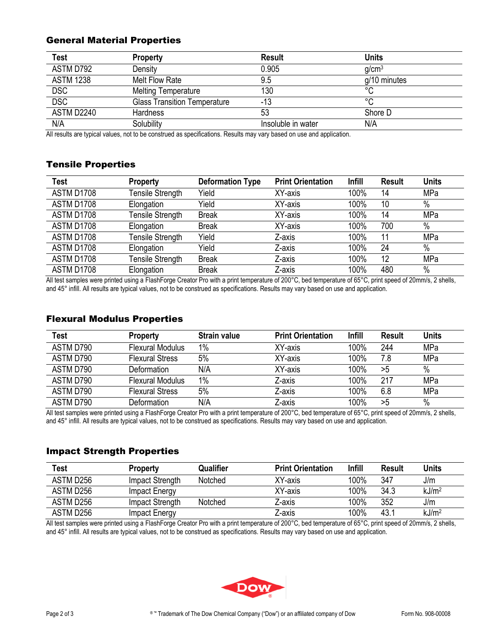## General Material Properties

| <b>Test</b>      | <b>Property</b>                     | <b>Result</b>      | <b>Units</b>      |
|------------------|-------------------------------------|--------------------|-------------------|
| ASTM D792        | Density                             | 0.905              | g/cm <sup>3</sup> |
| <b>ASTM 1238</b> | Melt Flow Rate                      | 9.5                | g/10 minutes      |
| <b>DSC</b>       | <b>Melting Temperature</b>          | 130                | °C                |
| <b>DSC</b>       | <b>Glass Transition Temperature</b> | -13                | °C                |
| ASTM D2240       | <b>Hardness</b>                     | 53                 | Shore D           |
| N/A              | Solubility                          | Insoluble in water | N/A               |

All results are typical values, not to be construed as specifications. Results may vary based on use and application.

## Tensile Properties

| Test       | <b>Property</b>  | <b>Deformation Type</b> | <b>Print Orientation</b> | <b>Infill</b> | <b>Result</b> | <b>Units</b> |
|------------|------------------|-------------------------|--------------------------|---------------|---------------|--------------|
| ASTM D1708 | Tensile Strength | Yield                   | XY-axis                  | 100%          | 14            | MPa          |
| ASTM D1708 | Elongation       | Yield                   | XY-axis                  | 100%          | 10            | $\%$         |
| ASTM D1708 | Tensile Strength | <b>Break</b>            | XY-axis                  | 100%          | 14            | MPa          |
| ASTM D1708 | Elongation       | <b>Break</b>            | XY-axis                  | 100%          | 700           | $\%$         |
| ASTM D1708 | Tensile Strength | Yield                   | Z-axis                   | 100%          | 11            | MPa          |
| ASTM D1708 | Elongation       | Yield                   | Z-axis                   | 100%          | 24            | $\%$         |
| ASTM D1708 | Tensile Strength | <b>Break</b>            | Z-axis                   | 100%          | 12            | MPa          |
| ASTM D1708 | Elongation       | <b>Break</b>            | Z-axis                   | 100%          | 480           | $\%$         |

All test samples were printed using a FlashForge Creator Pro with a print temperature of 200°C, bed temperature of 65°C, print speed of 20mm/s, 2 shells, and 45° infill. All results are typical values, not to be construed as specifications. Results may vary based on use and application.

### Flexural Modulus Properties

| Test      | <b>Property</b>         | <b>Strain value</b> | <b>Print Orientation</b> | <b>Infill</b> | Result | Units |
|-----------|-------------------------|---------------------|--------------------------|---------------|--------|-------|
| ASTM D790 | <b>Flexural Modulus</b> | $1\%$               | XY-axis                  | 100%          | 244    | MPa   |
| ASTM D790 | <b>Flexural Stress</b>  | 5%                  | XY-axis                  | 100%          | 7.8    | MPa   |
| ASTM D790 | Deformation             | N/A                 | XY-axis                  | 100%          | >5     | $\%$  |
| ASTM D790 | <b>Flexural Modulus</b> | 1%                  | Z-axis                   | 100%          | 217    | MPa   |
| ASTM D790 | <b>Flexural Stress</b>  | 5%                  | Z-axis                   | 100%          | 6.8    | MPa   |
| ASTM D790 | Deformation             | N/A                 | Z-axis                   | 100%          | >5     | $\%$  |

All test samples were printed using a FlashForge Creator Pro with a print temperature of 200°C, bed temperature of 65°C, print speed of 20mm/s, 2 shells, and 45° infill. All results are typical values, not to be construed as specifications. Results may vary based on use and application.

## Impact Strength Properties

| <b>Test</b> | <b>Property</b> | Qualifier | <b>Print Orientation</b> | Infill | <b>Result</b> | <b>Units</b>      |
|-------------|-----------------|-----------|--------------------------|--------|---------------|-------------------|
| ASTM D256   | Impact Strength | Notched   | XY-axis                  | 100%   | 347           | J/m               |
| ASTM D256   | Impact Energy   |           | XY-axis                  | 100%   | 34.3          | kJ/m <sup>2</sup> |
| ASTM D256   | Impact Strength | Notched   | Z-axis                   | 100%   | 352           | J/m               |
| ASTM D256   | Impact Energy   |           | Z-axis                   | 100%   | 43.1          | kJ/m <sup>2</sup> |

All test samples were printed using a FlashForge Creator Pro with a print temperature of 200°C, bed temperature of 65°C, print speed of 20mm/s, 2 shells, and 45° infill. All results are typical values, not to be construed as specifications. Results may vary based on use and application.